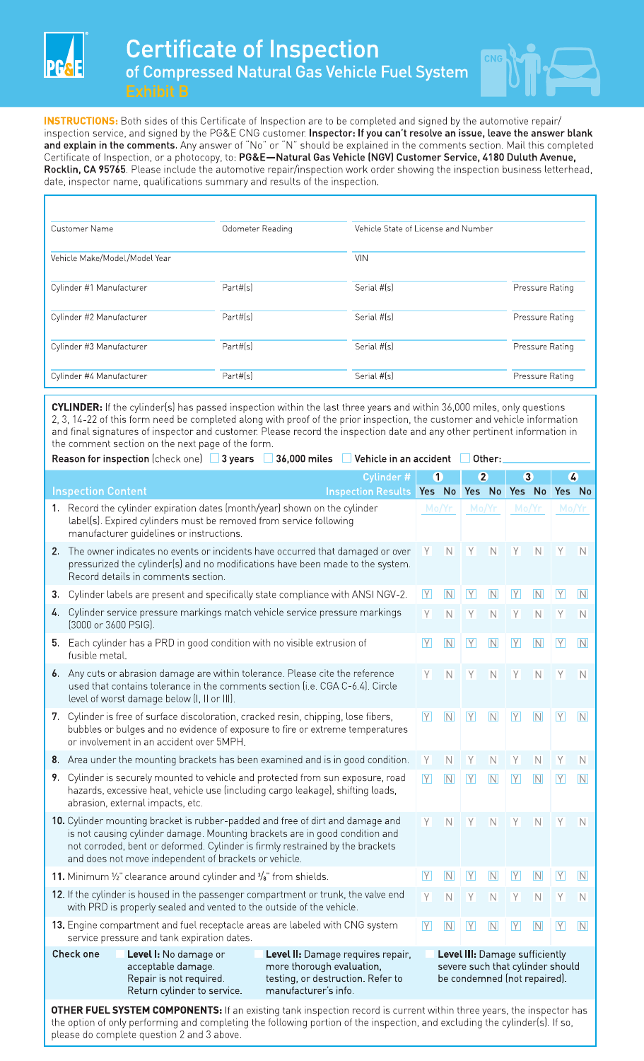



**INSTRUCTIONS:** Both sides of this Certificate of Inspection are to be completed and signed by the automotive repair/ inspection service, and signed by the PG&E CNG customer. **Inspector: If you can't resolve an issue, leave the answer blank and explain in the comments.** Any answer of "No" or "N" should be explained in the comments section. Mail this completed Certificate of Inspection, or a photocopy, to: **PG&E-Natural Gas Vehicle (NGV) Customer Service, 4180 Duluth Avenue, Rocklin, CA 95765.** Please include the automotive repair/inspection work order showing the inspection business letterhead, date, inspector name, qualifications summary and results of the inspection.

| Customer Name                 | Odometer Reading | Vehicle State of License and Number |                 |  |  |
|-------------------------------|------------------|-------------------------------------|-----------------|--|--|
| Vehicle Make/Model/Model Year |                  | <b>VIN</b>                          |                 |  |  |
| Cylinder #1 Manufacturer      | Part#[s]         | Serial #[s]                         | Pressure Rating |  |  |
| Cylinder #2 Manufacturer      | Part#[s]         | Serial #(s)                         | Pressure Rating |  |  |
| Cylinder #3 Manufacturer      | Part#(s)         | Serial #[s]                         | Pressure Rating |  |  |
| Cylinder #4 Manufacturer      | Part#(s)         | Serial #(s)                         | Pressure Rating |  |  |

**CYLINDER:** If the cylinderls] has passed inspection within the last three years and within 36,000 miles, only questions 2, 3, 14-22 of this form need be completed along with proof of the prior inspection, the customer and vehicle information and final signatures of inspector and customer. Please record the inspection date and any other pertinent information in

| the comment section on the next page of the form.                                                                |  |  |
|------------------------------------------------------------------------------------------------------------------|--|--|
| Reason for inspection (check one) $\Box$ 3 years $\Box$ 36,000 miles $\Box$ Vehicle in an accident $\Box$ Other: |  |  |

|    |                                                                                                                                                                                                                                                                                                         | Cylinder #                                                                                          | $\bf 0$        |                         | $\overline{2}$                                                 |                         | $\bf{3}$       |                         | $\overline{4}$                   |                         |
|----|---------------------------------------------------------------------------------------------------------------------------------------------------------------------------------------------------------------------------------------------------------------------------------------------------------|-----------------------------------------------------------------------------------------------------|----------------|-------------------------|----------------------------------------------------------------|-------------------------|----------------|-------------------------|----------------------------------|-------------------------|
|    | <b>Inspection Content</b>                                                                                                                                                                                                                                                                               | <b>Inspection Results</b>                                                                           | Yes No         |                         | Yes No                                                         |                         | Yes No         |                         | Yes No                           |                         |
|    | 1. Record the cylinder expiration dates (month/year) shown on the cylinder<br>label(s). Expired cylinders must be removed from service following<br>manufacturer guidelines or instructions.                                                                                                            |                                                                                                     | Mo/Yr          |                         | Mo/Yr                                                          |                         | Mo/Yr          |                         | Mo/Yr                            |                         |
| 2. | The owner indicates no events or incidents have occurred that damaged or over<br>pressurized the cylinder(s) and no modifications have been made to the system.<br>Record details in comments section.                                                                                                  |                                                                                                     | Y              | N                       | Y                                                              | N                       | Y.             | N                       | Y                                | IN                      |
| 3. | Cylinder labels are present and specifically state compliance with ANSI NGV-2.                                                                                                                                                                                                                          |                                                                                                     | Y              | $\overline{\mathsf{N}}$ | $\overline{Y}$                                                 | $\overline{\mathsf{N}}$ | Y              | IN                      | IY.                              | $\overline{\mathsf{N}}$ |
| 4. | Cylinder service pressure markings match vehicle service pressure markings<br>[3000 or 3600 PSIG].                                                                                                                                                                                                      |                                                                                                     | Y              | N                       | Y                                                              | $\mathbb N$             | Υ              | N                       | Υ                                | N                       |
| 5. | Each cylinder has a PRD in good condition with no visible extrusion of<br>fusible metal.                                                                                                                                                                                                                |                                                                                                     | Y              | N                       | $\boxed{Y}$                                                    | N                       | $\boxed{Y}$    | N                       | $\boxed{Y}$                      | $\overline{\mathsf{N}}$ |
|    | 6. Any cuts or abrasion damage are within tolerance. Please cite the reference<br>used that contains tolerance in the comments section (i.e. CGA C-6.4). Circle<br>level of worst damage below (I, II or III).                                                                                          |                                                                                                     | Y              | N                       | Y                                                              | $\mathbb N$             | Y              | N                       | Y                                | N                       |
|    | 7. Cylinder is free of surface discoloration, cracked resin, chipping, lose fibers,<br>bubbles or bulges and no evidence of exposure to fire or extreme temperatures<br>or involvement in an accident over 5MPH.                                                                                        |                                                                                                     | Y              | $\overline{\mathsf{N}}$ | $\overline{Y}$                                                 | N                       | IYI            | $\overline{\mathsf{N}}$ | IY.                              | $\overline{\mathsf{N}}$ |
|    | 8. Area under the mounting brackets has been examined and is in good condition.                                                                                                                                                                                                                         |                                                                                                     | Y              | N                       | $\overline{Y}$                                                 | N                       | $\overline{Y}$ | N                       | Y.                               | N                       |
| 9. | Cylinder is securely mounted to vehicle and protected from sun exposure, road<br>hazards, excessive heat, vehicle use (including cargo leakage), shifting loads,<br>abrasion, external impacts, etc.                                                                                                    |                                                                                                     | Y              | N                       | Y                                                              | N                       | $\overline{Y}$ | $\overline{\mathsf{N}}$ | $\boxed{Y}$                      | $\overline{\mathsf{N}}$ |
|    | 10. Cylinder mounting bracket is rubber-padded and free of dirt and damage and<br>is not causing cylinder damage. Mounting brackets are in good condition and<br>not corroded, bent or deformed. Cylinder is firmly restrained by the brackets<br>and does not move independent of brackets or vehicle. |                                                                                                     | Y              | N                       | Y                                                              | N                       | Y.             | N                       | Y                                | <b>N</b>                |
|    | 11. Minimum $\frac{1}{2}$ clearance around cylinder and $\frac{3}{8}$ from shields.                                                                                                                                                                                                                     |                                                                                                     | Y              | $\overline{N}$          | $\boxed{Y}$                                                    | $\overline{\mathsf{N}}$ | Y              | $\boxed{\mathsf{N}}$    | $\overline{Y}$                   | IN                      |
|    | 12. If the cylinder is housed in the passenger compartment or trunk, the valve end<br>with PRD is properly sealed and vented to the outside of the vehicle.                                                                                                                                             |                                                                                                     | $\overline{Y}$ | N                       | $\overline{Y}$                                                 | N                       | $\overline{Y}$ | N                       | $\overline{Y}$                   | N                       |
|    | 13. Engine compartment and fuel receptacle areas are labeled with CNG system<br>service pressure and tank expiration dates.                                                                                                                                                                             |                                                                                                     | Y              | N                       | $\overline{Y}$                                                 | N                       | Y              | $\overline{N}$          | $\overline{Y}$                   | IN                      |
|    | <b>Check one</b><br>Level I: No damage or<br>acceptable damage.<br>Repair is not required.                                                                                                                                                                                                              | Level II: Damage requires repair,<br>more thorough evaluation,<br>testing, or destruction. Refer to |                |                         | Level III: Damage sufficiently<br>be condemned (not repaired). |                         |                |                         | severe such that cylinder should |                         |

**OTHER FUEL SYSTEM COMPONENTS:** If an existing tank inspection record is current within three years, the inspector has the option of only performing and completing the following portion of the inspection, and excluding the cylinder[s]. If so, please do complete question 2 and 3 above.

Return cylinder to service. manufacturer's info.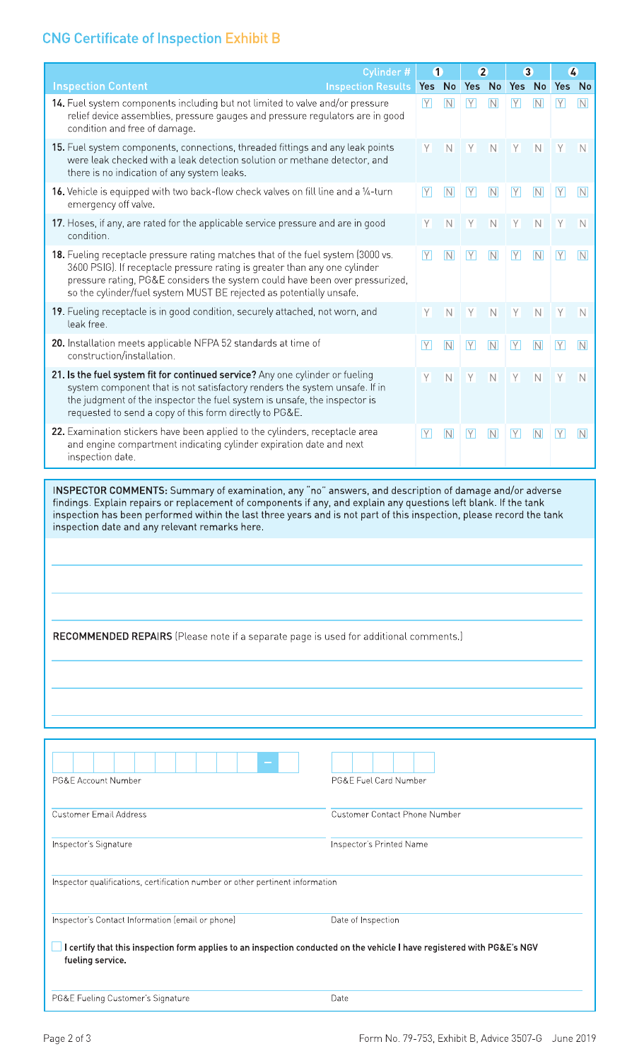## **CNG Certificate of Inspection Exhibit B**

|                                                                                                                                                                                                                                                                                                                                                                                                                                                                                                      | Cylinder #                | $\bf{0}$    |                         | $\overline{2}$ |                | $\bullet$   |                         | $\boldsymbol{c}$ |                         |
|------------------------------------------------------------------------------------------------------------------------------------------------------------------------------------------------------------------------------------------------------------------------------------------------------------------------------------------------------------------------------------------------------------------------------------------------------------------------------------------------------|---------------------------|-------------|-------------------------|----------------|----------------|-------------|-------------------------|------------------|-------------------------|
| <b>Inspection Content</b>                                                                                                                                                                                                                                                                                                                                                                                                                                                                            | <b>Inspection Results</b> | Yes No      |                         | Yes No         |                | Yes No      |                         | Yes No           |                         |
| 14. Fuel system components including but not limited to valve and/or pressure<br>relief device assemblies, pressure gauges and pressure regulators are in good<br>condition and free of damage.                                                                                                                                                                                                                                                                                                      |                           | $\boxed{Y}$ | N                       | $\boxed{Y}$    | N              | $\boxed{Y}$ | N                       | $\boxed{Y}$      | N                       |
| 15. Fuel system components, connections, threaded fittings and any leak points<br>were leak checked with a leak detection solution or methane detector, and<br>there is no indication of any system leaks.                                                                                                                                                                                                                                                                                           |                           | Y           | $\overline{\mathsf{N}}$ | $\overline{Y}$ | N              | Y           | N                       | Y                | N                       |
| 16. Vehicle is equipped with two back-flow check valves on fill line and a 1/4-turn<br>emergency off valve.                                                                                                                                                                                                                                                                                                                                                                                          |                           | $\boxed{Y}$ | $\overline{N}$          | $\boxed{Y}$    | $\overline{N}$ | $\boxed{Y}$ | N                       | $\boxed{Y}$      | N                       |
| 17. Hoses, if any, are rated for the applicable service pressure and are in good<br>condition.                                                                                                                                                                                                                                                                                                                                                                                                       |                           | Y           | $\overline{\mathsf{N}}$ | $\mathsf Y$    | N              | Y           | N                       | Y                | N                       |
| 18. Fueling receptacle pressure rating matches that of the fuel system (3000 vs.<br>3600 PSIG). If receptacle pressure rating is greater than any one cylinder<br>pressure rating, PG&E considers the system could have been over pressurized,<br>so the cylinder/fuel system MUST BE rejected as potentially unsafe.                                                                                                                                                                                |                           | $\boxed{Y}$ | N                       | $\boxed{Y}$    | N              | $\boxed{Y}$ | $\overline{\mathsf{N}}$ | $\boxed{Y}$      | N                       |
| 19. Fueling receptacle is in good condition, securely attached, not worn, and<br>leak free.                                                                                                                                                                                                                                                                                                                                                                                                          |                           | Y           | $\overline{\mathsf{N}}$ | Y              | $\overline{N}$ | Y           | N                       | Y.               | N                       |
| 20. Installation meets applicable NFPA 52 standards at time of<br>construction/installation.                                                                                                                                                                                                                                                                                                                                                                                                         |                           | $\boxed{Y}$ | N                       | $\overline{Y}$ | N              | $\boxed{Y}$ | N                       | Y                | $\overline{\mathbb{N}}$ |
| 21. Is the fuel system fit for continued service? Any one cylinder or fueling<br>system component that is not satisfactory renders the system unsafe. If in<br>the judgment of the inspector the fuel system is unsafe, the inspector is<br>requested to send a copy of this form directly to PG&E.                                                                                                                                                                                                  |                           | Y           | N                       | Y              | N              | Y.          | N                       | Y.               | N                       |
| 22. Examination stickers have been applied to the cylinders, receptacle area<br>and engine compartment indicating cylinder expiration date and next<br>inspection date.                                                                                                                                                                                                                                                                                                                              |                           |             |                         | $\boxed{Y}$    | N              | $\boxed{Y}$ | N                       | $\overline{Y}$   | N                       |
| INSPECTOR COMMENTS: Summary of examination, any "no" answers, and description of damage and/or adverse<br>findings. Explain repairs or replacement of components if any, and explain any questions left blank. If the tank<br>inspection has been performed within the last three years and is not part of this inspection, please record the tank<br>inspection date and any relevant remarks here.<br><b>RECOMMENDED REPAIRS</b> (Please note if a separate page is used for additional comments.) |                           |             |                         |                |                |             |                         |                  |                         |
|                                                                                                                                                                                                                                                                                                                                                                                                                                                                                                      |                           |             |                         |                |                |             |                         |                  |                         |
| PG&E Account Number<br>PG&E Fuel Card Number                                                                                                                                                                                                                                                                                                                                                                                                                                                         |                           |             |                         |                |                |             |                         |                  |                         |
| <b>Customer Email Address</b><br>Customer Contact Phone Number                                                                                                                                                                                                                                                                                                                                                                                                                                       |                           |             |                         |                |                |             |                         |                  |                         |
| Inspector's Signature<br>Inspector's Printed Name                                                                                                                                                                                                                                                                                                                                                                                                                                                    |                           |             |                         |                |                |             |                         |                  |                         |
| Inspector qualifications, certification number or other pertinent information                                                                                                                                                                                                                                                                                                                                                                                                                        |                           |             |                         |                |                |             |                         |                  |                         |

Inspector's Contact Information (email or phone) Date of Inspection

D <sup>I</sup>**certify that this inspection form applies to an inspection conducted on the vehicle** I **have registered with PG&E's NGV fueling service.** 

PG&E Fueling Customer's Signature data and the Date Date